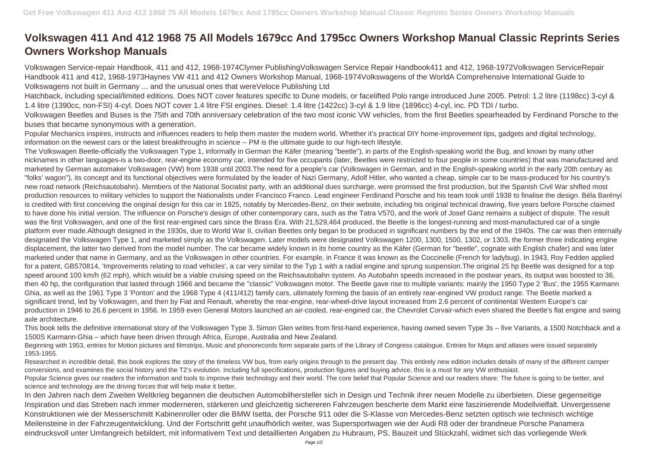## **Volkswagen 411 And 412 1968 75 All Models 1679cc And 1795cc Owners Workshop Manual Classic Reprints Series Owners Workshop Manuals**

Volkswagen Service-repair Handbook, 411 and 412, 1968-1974Clymer PublishingVolkswagen Service Repair Handbook411 and 412, 1968-1972Volkswagen ServiceRepair Handbook 411 and 412, 1968-1973Haynes VW 411 and 412 Owners Workshop Manual, 1968-1974Volkswagens of the WorldA Comprehensive International Guide to Volkswagens not built in Germany ... and the unusual ones that wereVeloce Publishing Ltd

Popular Mechanics inspires, instructs and influences readers to help them master the modern world. Whether it's practical DIY home-improvement tips, gadgets and digital technology, information on the newest cars or the latest breakthroughs in science -- PM is the ultimate guide to our high-tech lifestyle.

Hatchback, including special/limited editions. Does NOT cover features specific to Dune models, or facelifted Polo range introduced June 2005. Petrol: 1.2 litre (1198cc) 3-cyl & 1.4 litre (1390cc, non-FSI) 4-cyl. Does NOT cover 1.4 litre FSI engines. Diesel: 1.4 litre (1422cc) 3-cyl & 1.9 litre (1896cc) 4-cyl, inc. PD TDI / turbo. Volkswagen Beetles and Buses is the 75th and 70th anniversary celebration of the two most iconic VW vehicles, from the first Beetles spearheaded by Ferdinand Porsche to the buses that became synonymous with a generation.

Beginning with 1953, entries for Motion pictures and filmstrips, Music and phonorecords form separate parts of the Library of Congress catalogue. Entries for Maps and atlases were issued separately 1953-1955.

Researched in incredible detail, this book explores the story of the timeless VW bus, from early origins through to the present day. This entirely new edition includes details of many of the different camper conversions, and examines the social history and the T2's evolution. Including full specifications, production figures and buying advice, this is a must for any VW enthusiast. Popular Science gives our readers the information and tools to improve their technology and their world. The core belief that Popular Science and our readers share: The future is going to be better, and science and technology are the driving forces that will help make it better.

The Volkswagen Beetle-officially the Volkswagen Type 1, informally in German the Käfer (meaning "beetle"), in parts of the English-speaking world the Bug, and known by many other nicknames in other languages-is a two-door, rear-engine economy car, intended for five occupants (later, Beetles were restricted to four people in some countries) that was manufactured and marketed by German automaker Volkswagen (VW) from 1938 until 2003.The need for a people's car (Volkswagen in German, and in the English-speaking world in the early 20th century as "folks' wagon"), its concept and its functional objectives were formulated by the leader of Nazi Germany, Adolf Hitler, who wanted a cheap, simple car to be mass-produced for his country's new road network (Reichsautobahn). Members of the National Socialist party, with an additional dues surcharge, were promised the first production, but the Spanish Civil War shifted most production resources to military vehicles to support the Nationalists under Francisco Franco. Lead engineer Ferdinand Porsche and his team took until 1938 to finalise the design. Béla Barényi is credited with first conceiving the original design for this car in 1925, notably by Mercedes-Benz, on their website, including his original technical drawing, five years before Porsche claimed to have done his initial version. The influence on Porsche's design of other contemporary cars, such as the Tatra V570, and the work of Josef Ganz remains a subject of dispute. The result was the first Volkswagen, and one of the first rear-engined cars since the Brass Era. With 21,529,464 produced, the Beetle is the longest-running and most-manufactured car of a single platform ever made.Although designed in the 1930s, due to World War II, civilian Beetles only began to be produced in significant numbers by the end of the 1940s. The car was then internally designated the Volkswagen Type 1, and marketed simply as the Volkswagen. Later models were designated Volkswagen 1200, 1300, 1500, 1302, or 1303, the former three indicating engine displacement, the latter two derived from the model number. The car became widely known in its home country as the Käfer (German for "beetle", cognate with English chafer) and was later marketed under that name in Germany, and as the Volkswagen in other countries. For example, in France it was known as the Coccinelle (French for ladybug). In 1943, Roy Fedden applied for a patent, GB570814, 'Improvements relating to road vehicles', a car very similar to the Typ 1 with a radial engine and sprung suspension.The original 25 hp Beetle was designed for a top speed around 100 km/h (62 mph), which would be a viable cruising speed on the Reichsautobahn system. As Autobahn speeds increased in the postwar years, its output was boosted to 36, then 40 hp, the configuration that lasted through 1966 and became the "classic" Volkswagen motor. The Beetle gave rise to multiple variants: mainly the 1950 Type 2 'Bus', the 1955 Karmann Ghia, as well as the 1961 Type 3 'Ponton' and the 1968 Type 4 (411/412) family cars, ultimately forming the basis of an entirely rear-engined VW product range. The Beetle marked a significant trend, led by Volkswagen, and then by Fiat and Renault, whereby the rear-engine, rear-wheel-drive layout increased from 2.6 percent of continental Western Europe's car production in 1946 to 26.6 percent in 1956. In 1959 even General Motors launched an air-cooled, rear-engined car, the Chevrolet Corvair-which even shared the Beetle's flat engine and swing axle architecture.

This book tells the definitive international story of the Volkswagen Type 3. Simon Glen writes from first-hand experience, having owned seven Type 3s – five Variants, a 1500 Notchback and a 1500S Karmann·Ghia – which have been driven through Africa, Europe, Australia and New Zealand.

In den Jahren nach dem Zweiten Weltkrieg begannen die deutschen Automobilhersteller sich in Design und Technik ihrer neuen Modelle zu überbieten. Diese gegenseitige Inspiration und das Streben nach immer moderneren, stärkeren und gleichzeitig sichereren Fahrzeugen bescherte dem Markt eine faszinierende Modellvielfalt. Unvergessene Konstruktionen wie der Messerschmitt Kabinenroller oder die BMW Isetta, der Porsche 911 oder die S-Klasse von Mercedes-Benz setzten optisch wie technisch wichtige Meilensteine in der Fahrzeugentwicklung. Und der Fortschritt geht unaufhörlich weiter, was Supersportwagen wie der Audi R8 oder der brandneue Porsche Panamera eindrucksvoll unter Umfangreich bebildert, mit informativem Text und detaillierten Angaben zu Hubraum, PS, Bauzeit und Stückzahl, widmet sich das vorliegende Werk